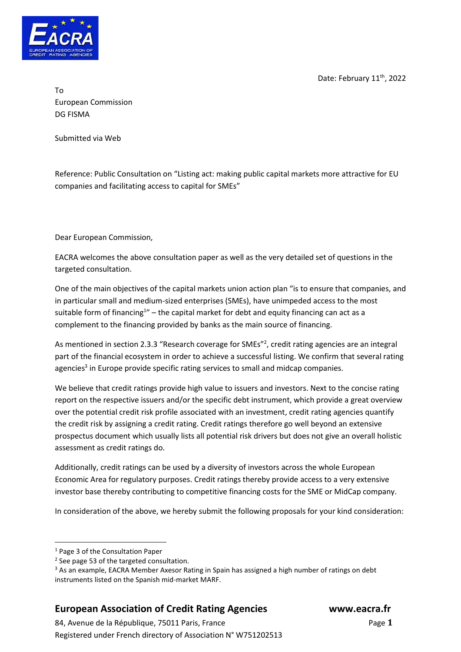Date: February 11<sup>th</sup>, 2022



To European Commission DG FISMA

Submitted via Web

Reference: Public Consultation on "Listing act: making public capital markets more attractive for EU companies and facilitating access to capital for SMEs"

Dear European Commission,

EACRA welcomes the above consultation paper as well as the very detailed set of questions in the targeted consultation.

One of the main objectives of the capital markets union action plan "is to ensure that companies, and in particular small and medium-sized enterprises (SMEs), have unimpeded access to the most suitable form of financing<sup>1</sup>" – the capital market for debt and equity financing can act as a complement to the financing provided by banks as the main source of financing.

As mentioned in section 2.3.3 "Research coverage for SMEs"<sup>2</sup>, credit rating agencies are an integral part of the financial ecosystem in order to achieve a successful listing. We confirm that several rating agencies<sup>3</sup> in Europe provide specific rating services to small and midcap companies.

We believe that credit ratings provide high value to issuers and investors. Next to the concise rating report on the respective issuers and/or the specific debt instrument, which provide a great overview over the potential credit risk profile associated with an investment, credit rating agencies quantify the credit risk by assigning a credit rating. Credit ratings therefore go well beyond an extensive prospectus document which usually lists all potential risk drivers but does not give an overall holistic assessment as credit ratings do.

Additionally, credit ratings can be used by a diversity of investors across the whole European Economic Area for regulatory purposes. Credit ratings thereby provide access to a very extensive investor base thereby contributing to competitive financing costs for the SME or MidCap company.

In consideration of the above, we hereby submit the following proposals for your kind consideration:

## **European Association of Credit Rating Agencies www.eacra.fr**

84, Avenue de la République, 75011 Paris, FrancePage **1** Registered under French directory of Association N° W751202513

<sup>1</sup> Page 3 of the Consultation Paper

<sup>&</sup>lt;sup>2</sup> See page 53 of the targeted consultation.

<sup>&</sup>lt;sup>3</sup> As an example, EACRA Member Axesor Rating in Spain has assigned a high number of ratings on debt instruments listed on the Spanish mid-market MARF.